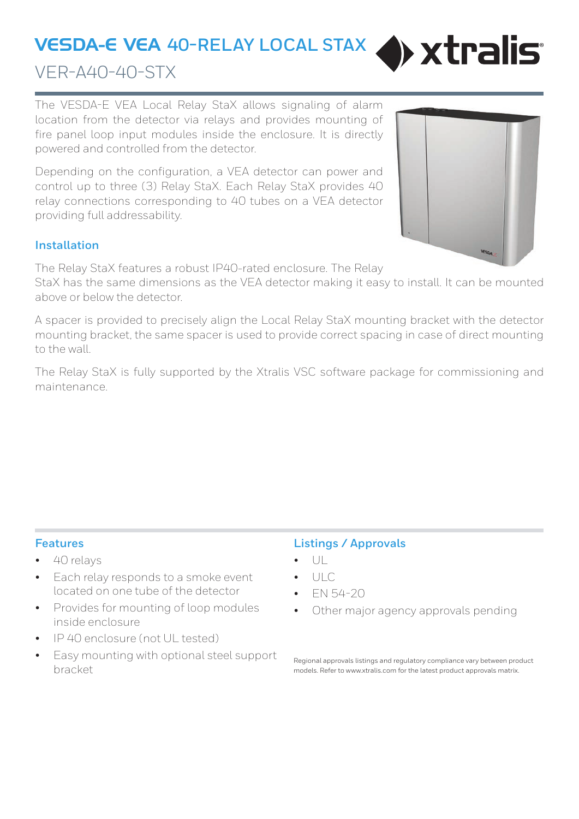# VESDA-E VEA **40-RELAY LOCAL STAX**



## VER-A40-40-STX

The VESDA-E VEA Local Relay StaX allows signaling of alarm location from the detector via relays and provides mounting of fire panel loop input modules inside the enclosure. It is directly powered and controlled from the detector.

Depending on the configuration, a VEA detector can power and control up to three (3) Relay StaX. Each Relay StaX provides 40 relay connections corresponding to 40 tubes on a VEA detector providing full addressability.



#### **Installation**

The Relay StaX features a robust IP40-rated enclosure. The Relay

StaX has the same dimensions as the VEA detector making it easy to install. It can be mounted above or below the detector.

A spacer is provided to precisely align the Local Relay StaX mounting bracket with the detector mounting bracket, the same spacer is used to provide correct spacing in case of direct mounting to the wall.

The Relay StaX is fully supported by the Xtralis VSC software package for commissioning and maintenance.

#### **Features**

- 40 relays
- Each relay responds to a smoke event located on one tube of the detector
- Provides for mounting of loop modules inside enclosure
- IP 40 enclosure (not UL tested)
- Easy mounting with optional steel support bracket

### **Listings / Approvals**

- $| \cdot |$
- ULC
- EN 54-20
- Other major agency approvals pending

Regional approvals listings and regulatory compliance vary between product models. Refer to www.xtralis.com for the latest product approvals matrix.